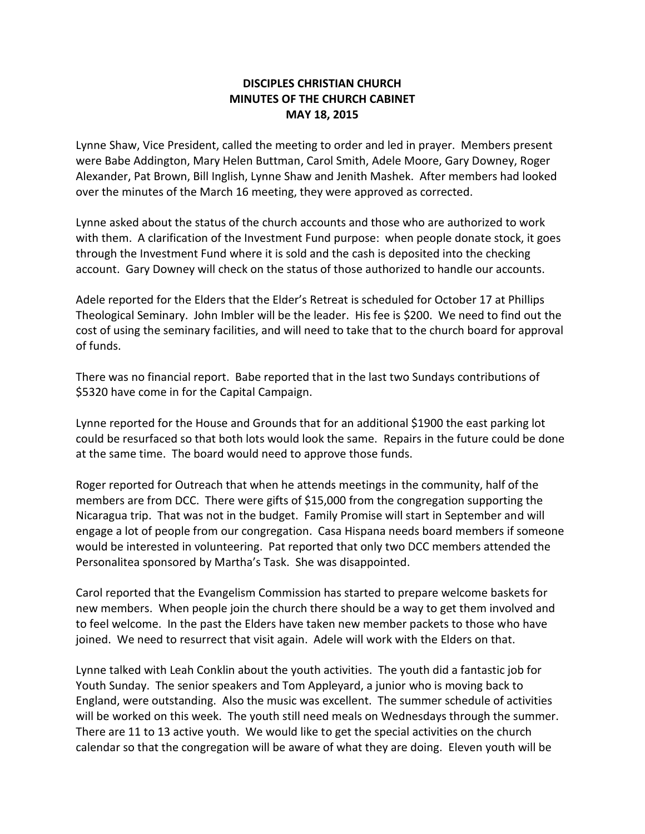## **DISCIPLES CHRISTIAN CHURCH MINUTES OF THE CHURCH CABINET MAY 18, 2015**

Lynne Shaw, Vice President, called the meeting to order and led in prayer. Members present were Babe Addington, Mary Helen Buttman, Carol Smith, Adele Moore, Gary Downey, Roger Alexander, Pat Brown, Bill Inglish, Lynne Shaw and Jenith Mashek. After members had looked over the minutes of the March 16 meeting, they were approved as corrected.

Lynne asked about the status of the church accounts and those who are authorized to work with them. A clarification of the Investment Fund purpose: when people donate stock, it goes through the Investment Fund where it is sold and the cash is deposited into the checking account. Gary Downey will check on the status of those authorized to handle our accounts.

Adele reported for the Elders that the Elder's Retreat is scheduled for October 17 at Phillips Theological Seminary. John Imbler will be the leader. His fee is \$200. We need to find out the cost of using the seminary facilities, and will need to take that to the church board for approval of funds.

There was no financial report. Babe reported that in the last two Sundays contributions of \$5320 have come in for the Capital Campaign.

Lynne reported for the House and Grounds that for an additional \$1900 the east parking lot could be resurfaced so that both lots would look the same. Repairs in the future could be done at the same time. The board would need to approve those funds.

Roger reported for Outreach that when he attends meetings in the community, half of the members are from DCC. There were gifts of \$15,000 from the congregation supporting the Nicaragua trip. That was not in the budget. Family Promise will start in September and will engage a lot of people from our congregation. Casa Hispana needs board members if someone would be interested in volunteering. Pat reported that only two DCC members attended the Personalitea sponsored by Martha's Task. She was disappointed.

Carol reported that the Evangelism Commission has started to prepare welcome baskets for new members. When people join the church there should be a way to get them involved and to feel welcome. In the past the Elders have taken new member packets to those who have joined. We need to resurrect that visit again. Adele will work with the Elders on that.

Lynne talked with Leah Conklin about the youth activities. The youth did a fantastic job for Youth Sunday. The senior speakers and Tom Appleyard, a junior who is moving back to England, were outstanding. Also the music was excellent. The summer schedule of activities will be worked on this week. The youth still need meals on Wednesdays through the summer. There are 11 to 13 active youth. We would like to get the special activities on the church calendar so that the congregation will be aware of what they are doing. Eleven youth will be